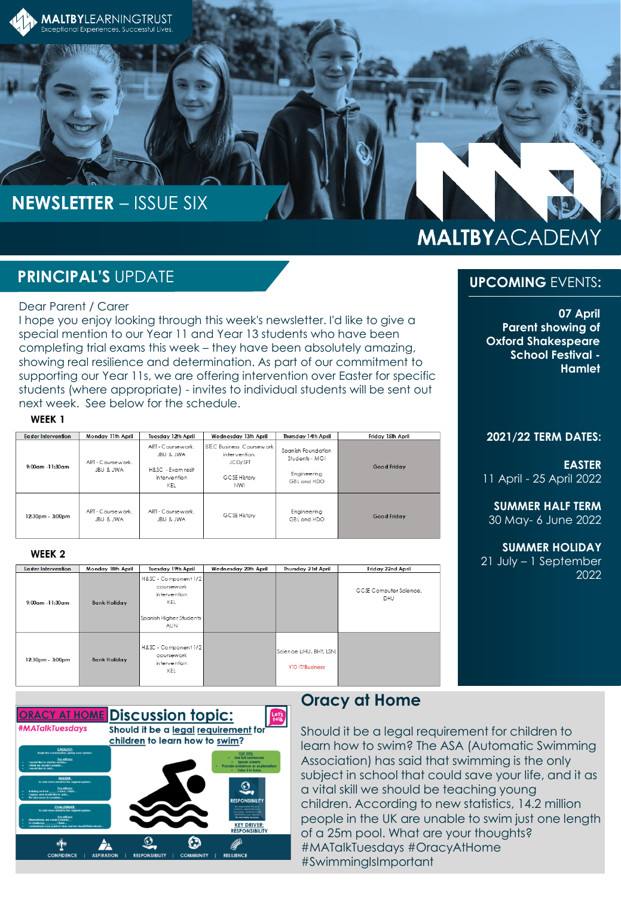

# **NEWSLETTER** – ISSUE SIX

# **PRINCIPAL'S** UPDATE

### Dear Parent / Carer

I hope you enjoy looking through this week's newsletter. I'd like to give a special mention to our Year 11 and Year 13 students who have been completing trial exams this week – they have been absolutely amazing, showing real resilience and determination. As part of our commitment to supporting our Year 11s, we are offering intervention over Easter for specific students (where appropriate) - invites to individual students will be sent out next week. See below for the schedule.

#### WEEK<sub>1</sub>

| Easter Intervention | Monday 11th April             | Tuesday 12th April                                                        | Wednesday 13th April                                                                             | Thursday 14th April                                                | Friday 15th April  |
|---------------------|-------------------------------|---------------------------------------------------------------------------|--------------------------------------------------------------------------------------------------|--------------------------------------------------------------------|--------------------|
| $9:00$ am -11:30am  | ART - Coursework<br>JBU & JWA | ART - Coursework<br>JBU & JWA<br>H&SC - Exam resit<br>intervention<br>KEL | <b>BTEC Business Coursework</b><br>intervention.<br>JCO/SFT<br><b>GCSE History</b><br><b>NWI</b> | Spanish Foundation<br>Students - MGI<br>Engineering<br>GBL and HDO | <b>Good Friday</b> |
| 12:30pm - 3:00pm    | ART - Coursework<br>JBU & JWA | ART - Coursework<br>JBU & JWA                                             | GCSE History                                                                                     | Engineering<br>GBI and HDO                                         | <b>Good Friday</b> |

#### WEEK<sub>2</sub>

| <b>Easter Intervention</b> | Monday 18th April   | Tuesday 19th April                                                                                   | Wednesday 20th April | Thursday 21st April                        | Friday 22nd April             |
|----------------------------|---------------------|------------------------------------------------------------------------------------------------------|----------------------|--------------------------------------------|-------------------------------|
| $9:00$ am -11:30am         | <b>Bank Holiday</b> | H&SC - Component 1/2<br>coursework<br>intervention<br>KEL<br>Spanish Hiaher Students -<br><b>AUN</b> |                      |                                            | GCSE Computer Science.<br>DHU |
| 12:30pm - 3:00pm           | <b>Bank Holiday</b> | H&SC - Component 1/2<br>coursework<br>intervention<br>KEL                                            |                      | Science (JHU, BHY, LSN)<br>Y10 IT/Business |                               |



### **Oracy at Home**

Should it be a legal requirement for children to learn how to swim? The ASA (Automatic Swimming Association) has said that swimming is the only subject in school that could save your life, and it as a vital skill we should be teaching young children. According to new statistics, 14.2 million people in the UK are unable to swim just one length of a 25m pool. What are your thoughts? #MATalkTuesdays #OracyAtHome #SwimmingIsImportant

# **MALTBYACADEMY**

### **UPCOMING** EVENTS**:**

**07 April Parent showing of Oxford Shakespeare School Festival - Hamlet** 

#### **2021/22 TERM DATES:**

**EASTER** 11 April - 25 April 2022

**SUMMER HALF TERM** 30 May- 6 June 2022

**SUMMER HOLIDAY** 21 July – 1 September 2022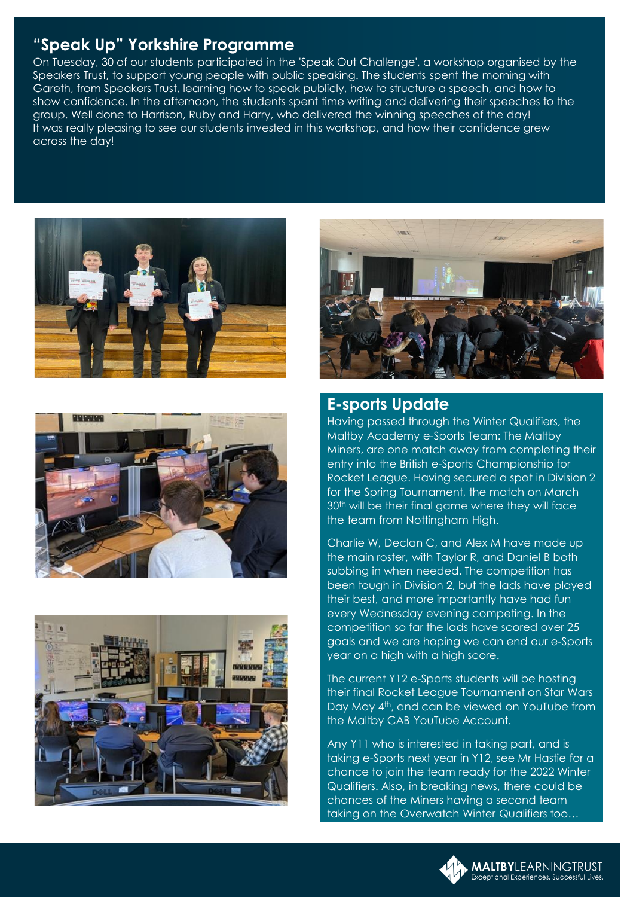## **"Speak Up" Yorkshire Programme**

On Tuesday, 30 of our students participated in the 'Speak Out Challenge', a workshop organised by the Speakers Trust, to support young people with public speaking. The students spent the morning with Gareth, from Speakers Trust, learning how to speak publicly, how to structure a speech, and how to show confidence. In the afternoon, the students spent time writing and delivering their speeches to the group. Well done to Harrison, Ruby and Harry, who delivered the winning speeches of the day! It was really pleasing to see our students invested in this workshop, and how their confidence grew across the day!









### **E-sports Update**

Having passed through the Winter Qualifiers, the Maltby Academy e-Sports Team: The Maltby Miners, are one match away from completing their entry into the British e-Sports Championship for Rocket League. Having secured a spot in Division 2 for the Spring Tournament, the match on March 30<sup>th</sup> will be their final game where they will face the team from Nottingham High.

Charlie W, Declan C, and Alex M have made up the main roster, with Taylor R, and Daniel B both subbing in when needed. The competition has been tough in Division 2, but the lads have played their best, and more importantly have had fun every Wednesday evening competing. In the competition so far the lads have scored over 25 goals and we are hoping we can end our e-Sports year on a high with a high score.

The current Y12 e-Sports students will be hosting their final Rocket League Tournament on Star Wars Day May 4th, and can be viewed on YouTube from the Maltby CAB YouTube Account.

Any Y11 who is interested in taking part, and is taking e-Sports next year in Y12, see Mr Hastie for a chance to join the team ready for the 2022 Winter Qualifiers. Also, in breaking news, there could be chances of the Miners having a second team taking on the Overwatch Winter Qualifiers too…

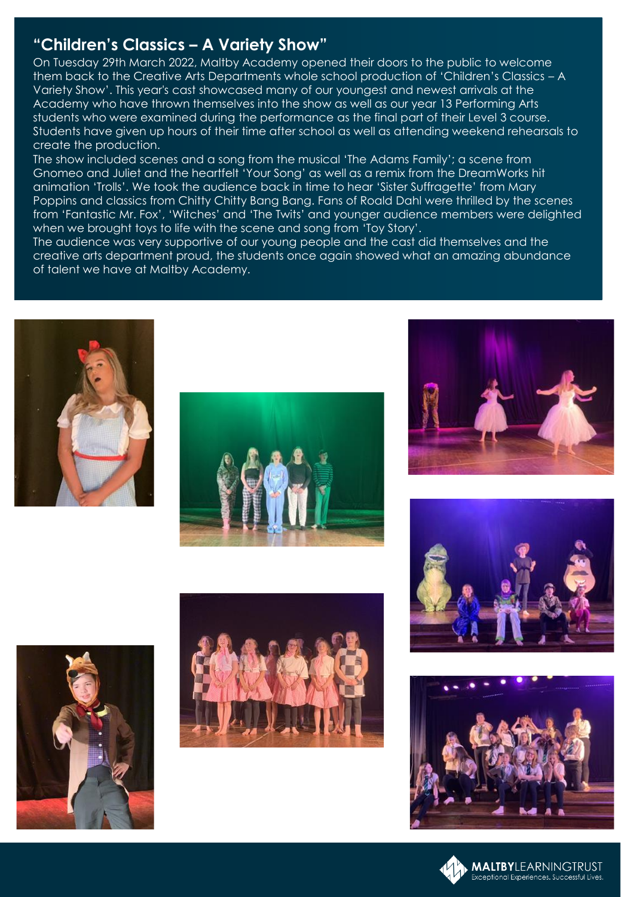## **"Children's Classics – A Variety Show"**

On Tuesday 29th March 2022, Maltby Academy opened their doors to the public to welcome them back to the Creative Arts Departments whole school production of 'Children's Classics – A Variety Show'. This year's cast showcased many of our youngest and newest arrivals at the Academy who have thrown themselves into the show as well as our year 13 Performing Arts students who were examined during the performance as the final part of their Level 3 course. Students have given up hours of their time after school as well as attending weekend rehearsals to create the production.

The show included scenes and a song from the musical 'The Adams Family'; a scene from Gnomeo and Juliet and the heartfelt 'Your Song' as well as a remix from the DreamWorks hit animation 'Trolls'. We took the audience back in time to hear 'Sister Suffragette' from Mary Poppins and classics from Chitty Chitty Bang Bang. Fans of Roald Dahl were thrilled by the scenes from 'Fantastic Mr. Fox', 'Witches' and 'The Twits' and younger audience members were delighted when we brought toys to life with the scene and song from 'Toy Story'.

The audience was very supportive of our young people and the cast did themselves and the creative arts department proud, the students once again showed what an amazing abundance of talent we have at Maltby Academy.















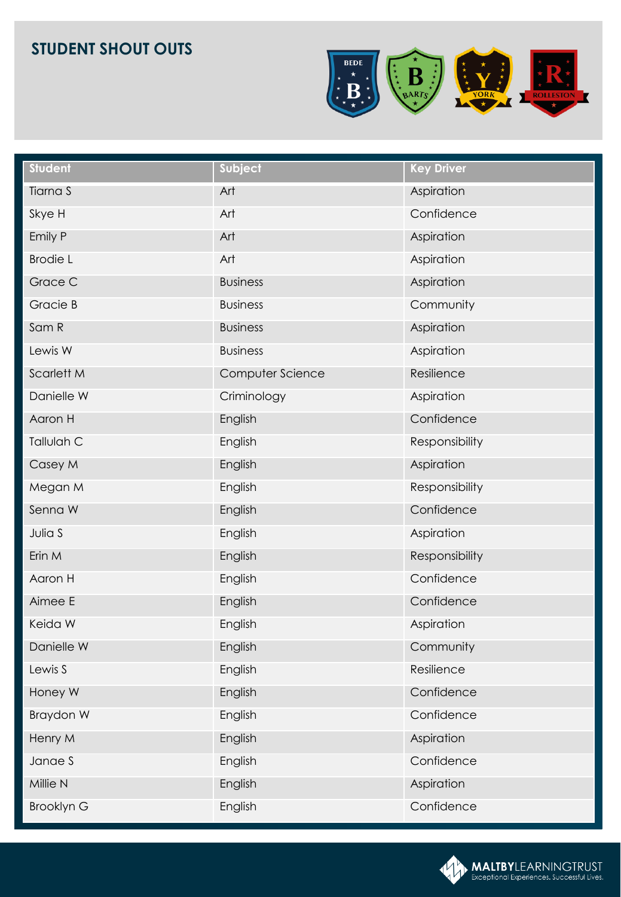

| <b>Student</b>    | Subject          | <b>Key Driver</b> |
|-------------------|------------------|-------------------|
| Tiarna S          | Art              | Aspiration        |
| Skye H            | Art              | Confidence        |
| Emily P           | Art              | Aspiration        |
| <b>Brodie L</b>   | Art              | Aspiration        |
| Grace C           | <b>Business</b>  | Aspiration        |
| Gracie B          | <b>Business</b>  | Community         |
| Sam R             | <b>Business</b>  | Aspiration        |
| Lewis W           | <b>Business</b>  | Aspiration        |
| Scarlett M        | Computer Science | Resilience        |
| Danielle W        | Criminology      | Aspiration        |
| Aaron H           | English          | Confidence        |
| Tallulah C        | English          | Responsibility    |
| Casey M           | English          | Aspiration        |
| Megan M           | English          | Responsibility    |
| Senna W           | English          | Confidence        |
| Julia S           | English          | Aspiration        |
| Erin M            | English          | Responsibility    |
| Aaron H           | English          | Confidence        |
| Aimee E           | English          | Confidence        |
| Keida W           | English          | Aspiration        |
| Danielle W        | English          | Community         |
| Lewis S           | English          | Resilience        |
| Honey W           | English          | Confidence        |
| Braydon W         | English          | Confidence        |
| Henry M           | English          | Aspiration        |
| Janae S           | English          | Confidence        |
| Millie N          | English          | Aspiration        |
| <b>Brooklyn G</b> | English          | Confidence        |

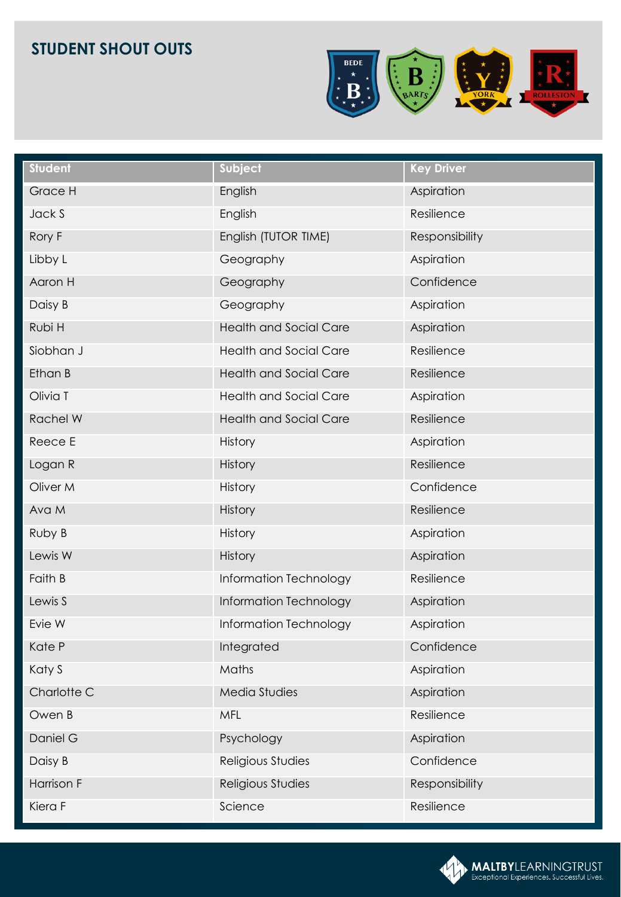

| <b>Student</b> | Subject                       | <b>Key Driver</b> |
|----------------|-------------------------------|-------------------|
| Grace H        | English                       | Aspiration        |
| Jack S         | English                       | Resilience        |
| Rory F         | English (TUTOR TIME)          | Responsibility    |
| Libby L        | Geography                     | Aspiration        |
| Aaron H        | Geography                     | Confidence        |
| Daisy B        | Geography                     | Aspiration        |
| Rubi H         | <b>Health and Social Care</b> | Aspiration        |
| Siobhan J      | <b>Health and Social Care</b> | Resilience        |
| Ethan B        | <b>Health and Social Care</b> | Resilience        |
| Olivia T       | <b>Health and Social Care</b> | Aspiration        |
| Rachel W       | <b>Health and Social Care</b> | Resilience        |
| Reece E        | History                       | Aspiration        |
| Logan R        | <b>History</b>                | Resilience        |
| Oliver M       | History                       | Confidence        |
| Ava M          | History                       | Resilience        |
| Ruby B         | History                       | Aspiration        |
| Lewis W        | History                       | Aspiration        |
| Faith B        | Information Technology        | Resilience        |
| Lewis S        | Information Technology        | Aspiration        |
| Evie W         | Information Technology        | Aspiration        |
| Kate P         | Integrated                    | Confidence        |
| Katy S         | Maths                         | Aspiration        |
| Charlotte C    | Media Studies                 | Aspiration        |
| Owen B         | <b>MFL</b>                    | Resilience        |
| Daniel G       | Psychology                    | Aspiration        |
| Daisy B        | Religious Studies             | Confidence        |
| Harrison F     | Religious Studies             | Responsibility    |
| Kiera F        | Science                       | Resilience        |

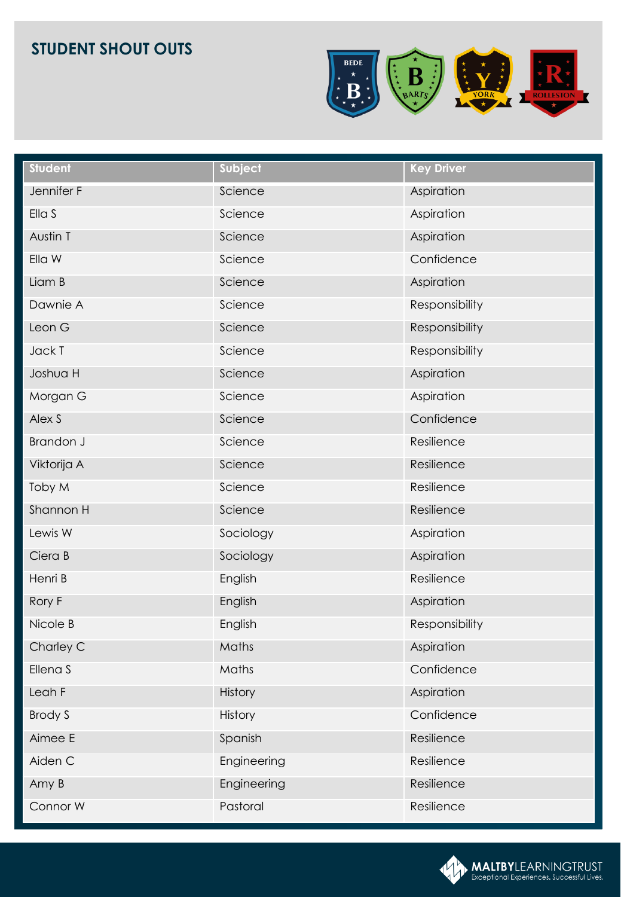

| <b>Student</b> | Subject     | <b>Key Driver</b> |
|----------------|-------------|-------------------|
| Jennifer F     | Science     | Aspiration        |
| Ella S         | Science     | Aspiration        |
| Austin T       | Science     | Aspiration        |
| Ella W         | Science     | Confidence        |
| Liam B         | Science     | Aspiration        |
| Dawnie A       | Science     | Responsibility    |
| Leon G         | Science     | Responsibility    |
| Jack T         | Science     | Responsibility    |
| Joshua H       | Science     | Aspiration        |
| Morgan G       | Science     | Aspiration        |
| Alex S         | Science     | Confidence        |
| Brandon J      | Science     | Resilience        |
| Viktorija A    | Science     | Resilience        |
| Toby M         | Science     | Resilience        |
| Shannon H      | Science     | Resilience        |
| Lewis W        | Sociology   | Aspiration        |
| Ciera B        | Sociology   | Aspiration        |
| Henri B        | English     | Resilience        |
| Rory F         | English     | Aspiration        |
| Nicole B       | English     | Responsibility    |
| Charley C      | Maths       | Aspiration        |
| Ellena S       | Maths       | Confidence        |
| Leah F         | History     | Aspiration        |
| <b>Brody S</b> | History     | Confidence        |
| Aimee E        | Spanish     | Resilience        |
| Aiden C        | Engineering | Resilience        |
| Amy B          | Engineering | Resilience        |
| Connor W       | Pastoral    | Resilience        |